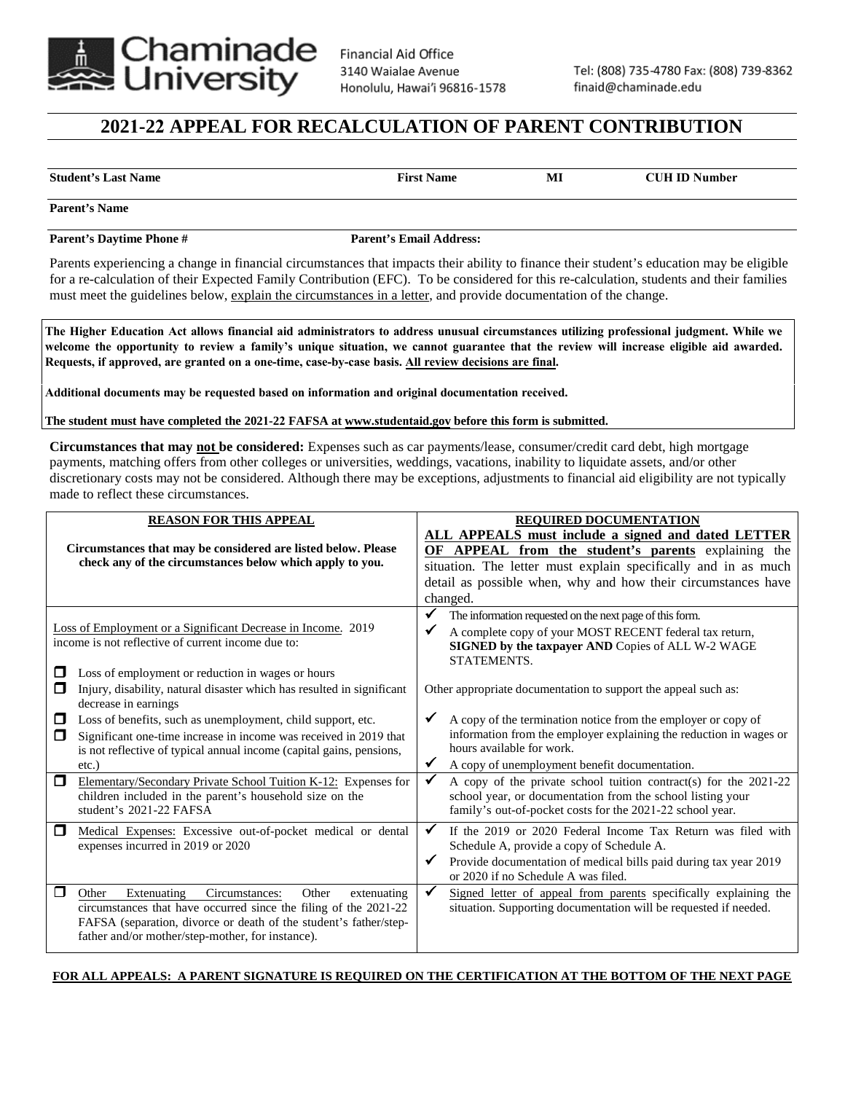

## **2021-22 APPEAL FOR RECALCULATION OF PARENT CONTRIBUTION**

**Student's Last Name First Name MI CUH ID Number**

**Parent's Name** 

Parent's Daytime Phone # Parent's Email Address:

Parents experiencing a change in financial circumstances that impacts their ability to finance their student's education may be eligible for a re-calculation of their Expected Family Contribution (EFC). To be considered for this re-calculation, students and their families must meet the guidelines below, explain the circumstances in a letter, and provide documentation of the change.

The Higher Education Act allows financial aid administrators to address unusual circumstances utilizing professional judgment. While we welcome the opportunity to review a family's unique situation, we cannot guarantee that the review will increase eligible aid awarded. **Requests, if approved, are granted on a one-time, case-by-case basis. All review decisions are final.** 

**Additional documents may be requested based on information and original documentation received.**

**The student must have completed the 2021-22 FAFSA at www.studentaid.gov before this form is submitted.** 

**Circumstances that may not be considered:** Expenses such as car payments/lease, consumer/credit card debt, high mortgage payments, matching offers from other colleges or universities, weddings, vacations, inability to liquidate assets, and/or other discretionary costs may not be considered. Although there may be exceptions, adjustments to financial aid eligibility are not typically made to reflect these circumstances.

| <b>REASON FOR THIS APPEAL</b>                                                                                             |                                                                                                                                                                                                                                                                                                                        | REQUIRED DOCUMENTATION                                                                                                                                                                                                                                   |                                                                                                                                                                                                                                                                                     |  |
|---------------------------------------------------------------------------------------------------------------------------|------------------------------------------------------------------------------------------------------------------------------------------------------------------------------------------------------------------------------------------------------------------------------------------------------------------------|----------------------------------------------------------------------------------------------------------------------------------------------------------------------------------------------------------------------------------------------------------|-------------------------------------------------------------------------------------------------------------------------------------------------------------------------------------------------------------------------------------------------------------------------------------|--|
| Circumstances that may be considered are listed below. Please<br>check any of the circumstances below which apply to you. |                                                                                                                                                                                                                                                                                                                        | ALL APPEALS must include a signed and dated LETTER<br>OF APPEAL from the student's parents explaining the<br>situation. The letter must explain specifically and in as much<br>detail as possible when, why and how their circumstances have<br>changed. |                                                                                                                                                                                                                                                                                     |  |
| $\Box$                                                                                                                    | Loss of Employment or a Significant Decrease in Income. 2019<br>income is not reflective of current income due to:<br>Loss of employment or reduction in wages or hours                                                                                                                                                | $\checkmark$<br>✔                                                                                                                                                                                                                                        | The information requested on the next page of this form.<br>A complete copy of your MOST RECENT federal tax return,<br>SIGNED by the taxpayer AND Copies of ALL W-2 WAGE<br>STATEMENTS.                                                                                             |  |
| □<br>◻<br>$\Box$                                                                                                          | Injury, disability, natural disaster which has resulted in significant<br>decrease in earnings<br>Loss of benefits, such as unemployment, child support, etc.<br>Significant one-time increase in income was received in 2019 that<br>is not reflective of typical annual income (capital gains, pensions,<br>$etc.$ ) | $\checkmark$<br>$\checkmark$                                                                                                                                                                                                                             | Other appropriate documentation to support the appeal such as:<br>A copy of the termination notice from the employer or copy of<br>information from the employer explaining the reduction in wages or<br>hours available for work.<br>A copy of unemployment benefit documentation. |  |
| ◘                                                                                                                         | Elementary/Secondary Private School Tuition K-12: Expenses for<br>children included in the parent's household size on the<br>student's 2021-22 FAFSA                                                                                                                                                                   | $\checkmark$                                                                                                                                                                                                                                             | A copy of the private school tuition contract(s) for the 2021-22<br>school year, or documentation from the school listing your<br>family's out-of-pocket costs for the 2021-22 school year.                                                                                         |  |
| $\Box$                                                                                                                    | Medical Expenses: Excessive out-of-pocket medical or dental<br>expenses incurred in 2019 or 2020                                                                                                                                                                                                                       | $\checkmark$<br>$\checkmark$                                                                                                                                                                                                                             | If the 2019 or 2020 Federal Income Tax Return was filed with<br>Schedule A, provide a copy of Schedule A.<br>Provide documentation of medical bills paid during tax year 2019<br>or 2020 if no Schedule A was filed.                                                                |  |
| П                                                                                                                         | Extenuating<br>Circumstances:<br>Other<br>Other<br>extenuating<br>circumstances that have occurred since the filing of the 2021-22<br>FAFSA (separation, divorce or death of the student's father/step-<br>father and/or mother/step-mother, for instance).                                                            | $\checkmark$                                                                                                                                                                                                                                             | Signed letter of appeal from parents specifically explaining the<br>situation. Supporting documentation will be requested if needed.                                                                                                                                                |  |

## **FOR ALL APPEALS: A PARENT SIGNATURE IS REQUIRED ON THE CERTIFICATION AT THE BOTTOM OF THE NEXT PAGE**